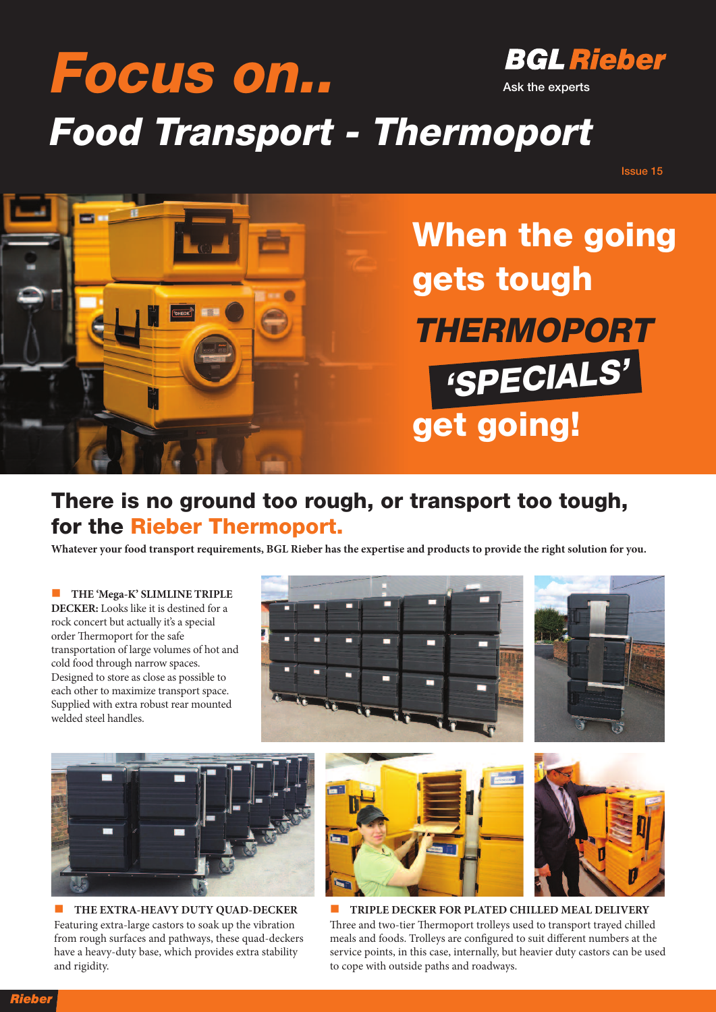## **BGL Rieber Focus on.. Ask the experts Food Transport - Thermoport**

**Issue 15**



## **There is no ground too rough, or transport too tough, for the Rieber Thermoport.**

Whatever your food transport requirements, BGL Rieber has the expertise and products to provide the right solution for you.

n **THE 'Mega-K' SLIMLINE TRIPLE DECKER:** Looks like it is destined for a rock concert but actually it's a special order Thermoport for the safe transportation of large volumes of hot and cold food through narrow spaces. Designed to store as close as possible to each other to maximize transport space. Supplied with extra robust rear mounted welded steel handles.







n **THE EXTRA-HEAVY DUTY QUAD-DECKER** Featuring extra-large castors to soak up the vibration from rough surfaces and pathways, these quad-deckers have a heavy-duty base, which provides extra stability and rigidity.





n **TRIPLE DECKER FOR PLATED CHILLED MEAL DELIVERY** Three and two-tier Thermoport trolleys used to transport trayed chilled meals and foods. Trolleys are configured to suit different numbers at the service points, in this case, internally, but heavier duty castors can be used to cope with outside paths and roadways.